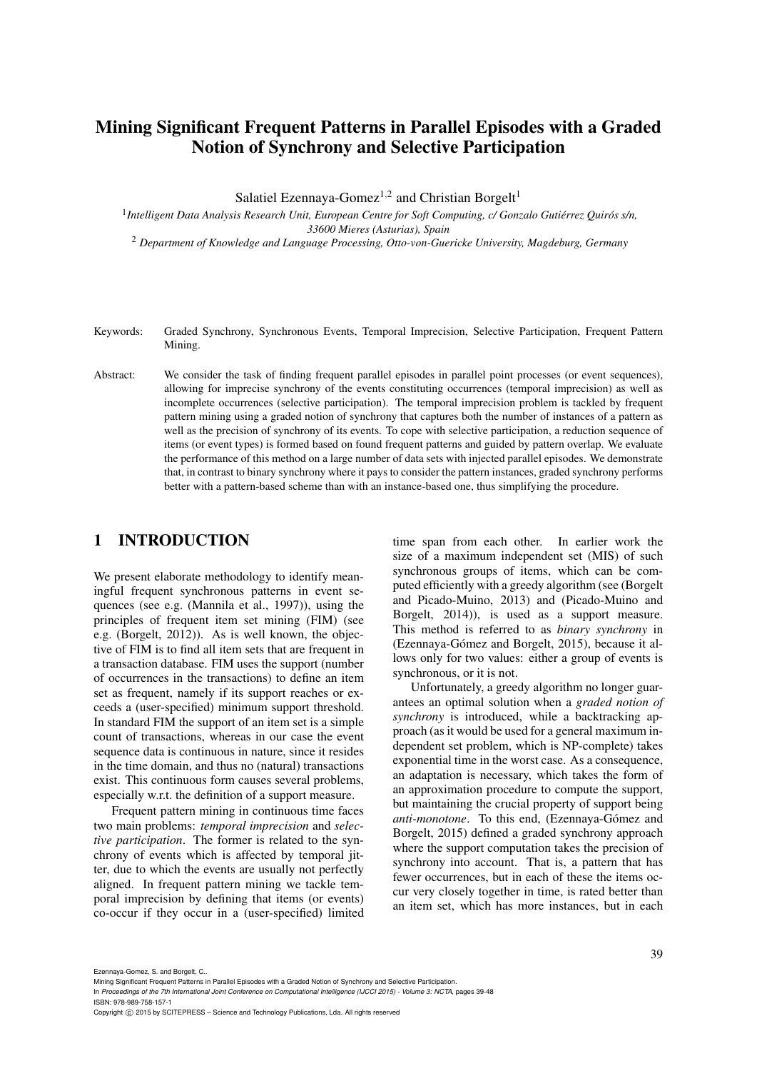# Mining Significant Frequent Patterns in Parallel Episodes with a Graded Notion of Synchrony and Selective Participation

Salatiel Ezennaya-Gomez<sup>1,2</sup> and Christian Borgelt<sup>1</sup>

<sup>1</sup> Intelligent Data Analysis Research Unit, European Centre for Soft Computing, c/ Gonzalo Gutiérrez Quirós s/n, *33600 Mieres (Asturias), Spain*

<sup>2</sup> *Department of Knowledge and Language Processing, Otto-von-Guericke University, Magdeburg, Germany*

Keywords: Graded Synchrony, Synchronous Events, Temporal Imprecision, Selective Participation, Frequent Pattern Mining.

Abstract: We consider the task of finding frequent parallel episodes in parallel point processes (or event sequences), allowing for imprecise synchrony of the events constituting occurrences (temporal imprecision) as well as incomplete occurrences (selective participation). The temporal imprecision problem is tackled by frequent pattern mining using a graded notion of synchrony that captures both the number of instances of a pattern as well as the precision of synchrony of its events. To cope with selective participation, a reduction sequence of items (or event types) is formed based on found frequent patterns and guided by pattern overlap. We evaluate the performance of this method on a large number of data sets with injected parallel episodes. We demonstrate that, in contrast to binary synchrony where it pays to consider the pattern instances, graded synchrony performs better with a pattern-based scheme than with an instance-based one, thus simplifying the procedure.

### 1 INTRODUCTION

We present elaborate methodology to identify meaningful frequent synchronous patterns in event sequences (see e.g. (Mannila et al., 1997)), using the principles of frequent item set mining (FIM) (see e.g. (Borgelt, 2012)). As is well known, the objective of FIM is to find all item sets that are frequent in a transaction database. FIM uses the support (number of occurrences in the transactions) to define an item set as frequent, namely if its support reaches or exceeds a (user-specified) minimum support threshold. In standard FIM the support of an item set is a simple count of transactions, whereas in our case the event sequence data is continuous in nature, since it resides in the time domain, and thus no (natural) transactions exist. This continuous form causes several problems, especially w.r.t. the definition of a support measure.

Frequent pattern mining in continuous time faces two main problems: *temporal imprecision* and *selective participation*. The former is related to the synchrony of events which is affected by temporal jitter, due to which the events are usually not perfectly aligned. In frequent pattern mining we tackle temporal imprecision by defining that items (or events) co-occur if they occur in a (user-specified) limited time span from each other. In earlier work the size of a maximum independent set (MIS) of such synchronous groups of items, which can be computed efficiently with a greedy algorithm (see (Borgelt and Picado-Muino, 2013) and (Picado-Muino and Borgelt, 2014)), is used as a support measure. This method is referred to as *binary synchrony* in (Ezennaya-Gómez and Borgelt, 2015), because it allows only for two values: either a group of events is synchronous, or it is not.

Unfortunately, a greedy algorithm no longer guarantees an optimal solution when a *graded notion of synchrony* is introduced, while a backtracking approach (as it would be used for a general maximum independent set problem, which is NP-complete) takes exponential time in the worst case. As a consequence, an adaptation is necessary, which takes the form of an approximation procedure to compute the support, but maintaining the crucial property of support being *anti-monotone*. To this end, (Ezennaya-Gómez and Borgelt, 2015) defined a graded synchrony approach where the support computation takes the precision of synchrony into account. That is, a pattern that has fewer occurrences, but in each of these the items occur very closely together in time, is rated better than an item set, which has more instances, but in each

Ezennaya-Gomez, S. and Borgelt, C..

Mining Significant Frequent Patterns in Parallel Episodes with a Graded Notion of Synchrony and Selective Participation.

In *Proceedings of the 7th International Joint Conference on Computational Intelligence (IJCCI 2015) - Volume 3: NCTA*, pages 39-48 ISBN: 978-989-758-157-1

Copyright C 2015 by SCITEPRESS - Science and Technology Publications, Lda. All rights reserved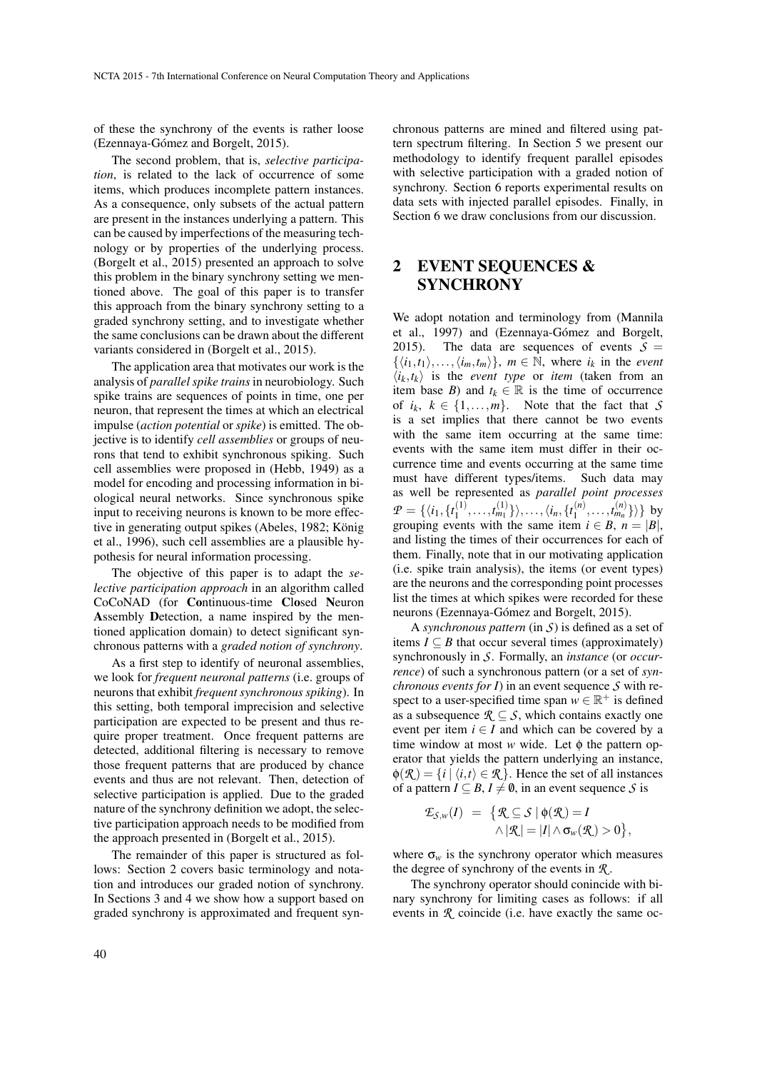of these the synchrony of the events is rather loose (Ezennaya-Gómez and Borgelt, 2015).

The second problem, that is, *selective participation*, is related to the lack of occurrence of some items, which produces incomplete pattern instances. As a consequence, only subsets of the actual pattern are present in the instances underlying a pattern. This can be caused by imperfections of the measuring technology or by properties of the underlying process. (Borgelt et al., 2015) presented an approach to solve this problem in the binary synchrony setting we mentioned above. The goal of this paper is to transfer this approach from the binary synchrony setting to a graded synchrony setting, and to investigate whether the same conclusions can be drawn about the different variants considered in (Borgelt et al., 2015).

The application area that motivates our work is the analysis of *parallel spike trains* in neurobiology. Such spike trains are sequences of points in time, one per neuron, that represent the times at which an electrical impulse (*action potential* or *spike*) is emitted. The objective is to identify *cell assemblies* or groups of neurons that tend to exhibit synchronous spiking. Such cell assemblies were proposed in (Hebb, 1949) as a model for encoding and processing information in biological neural networks. Since synchronous spike input to receiving neurons is known to be more effective in generating output spikes (Abeles, 1982; König et al., 1996), such cell assemblies are a plausible hypothesis for neural information processing.

The objective of this paper is to adapt the *selective participation approach* in an algorithm called CoCoNAD (for Continuous-time Closed Neuron Assembly Detection, a name inspired by the mentioned application domain) to detect significant synchronous patterns with a *graded notion of synchrony*.

As a first step to identify of neuronal assemblies, we look for *frequent neuronal patterns* (i.e. groups of neurons that exhibit *frequent synchronous spiking*). In this setting, both temporal imprecision and selective participation are expected to be present and thus require proper treatment. Once frequent patterns are detected, additional filtering is necessary to remove those frequent patterns that are produced by chance events and thus are not relevant. Then, detection of selective participation is applied. Due to the graded nature of the synchrony definition we adopt, the selective participation approach needs to be modified from the approach presented in (Borgelt et al., 2015).

The remainder of this paper is structured as follows: Section 2 covers basic terminology and notation and introduces our graded notion of synchrony. In Sections 3 and 4 we show how a support based on graded synchrony is approximated and frequent synchronous patterns are mined and filtered using pattern spectrum filtering. In Section 5 we present our methodology to identify frequent parallel episodes with selective participation with a graded notion of synchrony. Section 6 reports experimental results on data sets with injected parallel episodes. Finally, in Section 6 we draw conclusions from our discussion.

## 2 EVENT SEQUENCES & **SYNCHRONY**

We adopt notation and terminology from (Mannila et al., 1997) and (Ezennaya-Gómez and Borgelt, 2015). The data are sequences of events  $S =$  $\{\langle i_1,t_1\rangle,\ldots,\langle i_m,t_m\rangle\}$ ,  $m \in \mathbb{N}$ , where  $i_k$  in the *event*  $\langle i_k, t_k \rangle$  is the *event type* or *item* (taken from an item base *B*) and  $t_k \in \mathbb{R}$  is the time of occurrence of  $i_k$ ,  $k \in \{1, ..., m\}$ . Note that the fact that *S* is a set implies that there cannot be two events with the same item occurring at the same time: events with the same item must differ in their occurrence time and events occurring at the same time must have different types/items. Such data may as well be represented as *parallel point processes*  $P = \{\langle i_1, \{t_1^{(1)}\}\rangle\}$  $\langle i_1^{(1)},\ldots,i_{m_1}^{(1)}\}\rangle,\ldots,\langle i_n,\{t_1^{(n)}\}\rangle$  $\{t_1^{(n)}, \ldots, t_{m_n}^{(n)}\}$ } by grouping events with the same item  $i \in B$ ,  $n = |B|$ , and listing the times of their occurrences for each of them. Finally, note that in our motivating application (i.e. spike train analysis), the items (or event types) are the neurons and the corresponding point processes list the times at which spikes were recorded for these neurons (Ezennaya-Gómez and Borgelt, 2015).

A *synchronous pattern* (in *S*) is defined as a set of items  $I \subseteq B$  that occur several times (approximately) synchronously in *S*. Formally, an *instance* (or *occurrence*) of such a synchronous pattern (or a set of *synchronous events for I*) in an event sequence *S* with respect to a user-specified time span  $w \in \mathbb{R}^+$  is defined as a subsequence  $\mathcal{R} \subseteq \mathcal{S}$ , which contains exactly one event per item  $i \in I$  and which can be covered by a time window at most *w* wide. Let φ the pattern operator that yields the pattern underlying an instance,  $\phi(\mathcal{R}) = \{i \mid \langle i,t \rangle \in \mathcal{R}\}\.$  Hence the set of all instances of a pattern  $I \subseteq B$ ,  $I \neq \emptyset$ , in an event sequence *S* is

$$
\mathcal{L}_{\mathcal{S},w}(I) = \{ \mathcal{R} \subseteq \mathcal{S} \mid \phi(\mathcal{R}) = I \\ \wedge |\mathcal{R}| = |I| \wedge \sigma_w(\mathcal{R}) > 0 \},
$$

where  $\sigma_w$  is the synchrony operator which measures the degree of synchrony of the events in *R* .

The synchrony operator should conincide with binary synchrony for limiting cases as follows: if all events in *R* coincide (i.e. have exactly the same oc-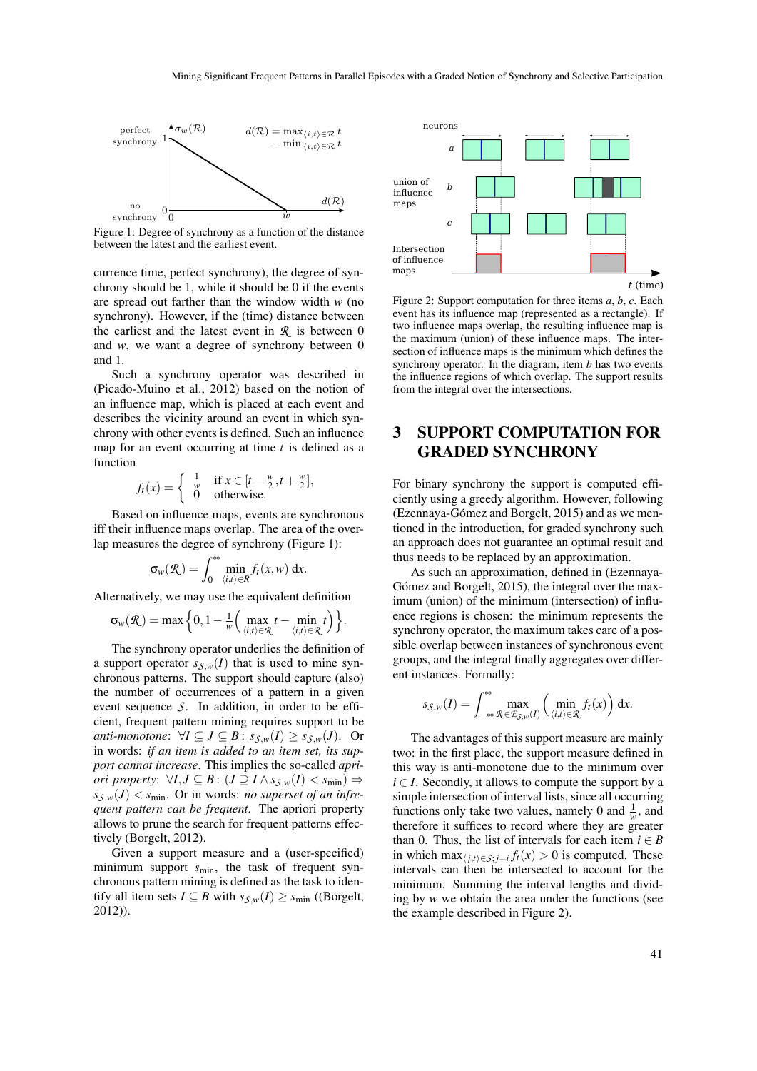

Figure 1: Degree of synchrony as a function of the distance between the latest and the earliest event.

currence time, perfect synchrony), the degree of synchrony should be 1, while it should be 0 if the events are spread out farther than the window width *w* (no synchrony). However, if the (time) distance between the earliest and the latest event in  $\mathcal{R}$  is between 0 and *w*, we want a degree of synchrony between 0 and 1.

Such a synchrony operator was described in (Picado-Muino et al., 2012) based on the notion of an influence map, which is placed at each event and describes the vicinity around an event in which synchrony with other events is defined. Such an influence map for an event occurring at time *t* is defined as a function

$$
f_t(x) = \begin{cases} \frac{1}{w} & \text{if } x \in [t - \frac{w}{2}, t + \frac{w}{2}],\\ 0 & \text{otherwise.} \end{cases}
$$

Based on influence maps, events are synchronous iff their influence maps overlap. The area of the overlap measures the degree of synchrony (Figure 1):

$$
\sigma_w(\mathcal{R}) = \int_0^\infty \min_{\langle i,t\rangle \in \mathcal{R}} f_t(x,w) \, dx.
$$

Alternatively, we may use the equivalent definition

$$
\sigma_w(\mathcal{R}) = \max\Big\{0, 1 - \frac{1}{w} \Big( \max_{\langle i, t \rangle \in \mathcal{R}} t - \min_{\langle i, t \rangle \in \mathcal{R}} t \Big) \Big\}.
$$

The synchrony operator underlies the definition of a support operator  $s_{\mathcal{S},w}(I)$  that is used to mine synchronous patterns. The support should capture (also) the number of occurrences of a pattern in a given event sequence *S*. In addition, in order to be efficient, frequent pattern mining requires support to be *anti-monotone*:  $\forall I \subseteq J \subseteq B$ :  $s_{\mathcal{S},w}(I) \geq s_{\mathcal{S},w}(J)$ . Or in words: *if an item is added to an item set, its support cannot increase*. This implies the so-called *apriori property:*  $\forall I, J \subseteq B$ :  $(J \supseteq I \land s_{S,w}(I) < s_{\min})$  ⇒  $s_{\mathcal{S},w}(J) < s_{\text{min}}$ . Or in words: *no superset of an infrequent pattern can be frequent*. The apriori property allows to prune the search for frequent patterns effectively (Borgelt, 2012).

Given a support measure and a (user-specified) minimum support  $s_{\text{min}}$ , the task of frequent synchronous pattern mining is defined as the task to identify all item sets  $I \subseteq B$  with  $s_{\mathcal{S},w}(I) \geq s_{\min}$  ((Borgelt, 2012)).



Figure 2: Support computation for three items *a*, *b*, *c*. Each event has its influence map (represented as a rectangle). If two influence maps overlap, the resulting influence map is the maximum (union) of these influence maps. The intersection of influence maps is the minimum which defines the synchrony operator. In the diagram, item *b* has two events the influence regions of which overlap. The support results from the integral over the intersections.

## 3 SUPPORT COMPUTATION FOR GRADED SYNCHRONY

For binary synchrony the support is computed efficiently using a greedy algorithm. However, following (Ezennaya-Gómez and Borgelt, 2015) and as we mentioned in the introduction, for graded synchrony such an approach does not guarantee an optimal result and thus needs to be replaced by an approximation.

As such an approximation, defined in (Ezennaya-Gómez and Borgelt, 2015), the integral over the maximum (union) of the minimum (intersection) of influence regions is chosen: the minimum represents the synchrony operator, the maximum takes care of a possible overlap between instances of synchronous event groups, and the integral finally aggregates over different instances. Formally:

$$
s_{\mathcal{S},w}(I) = \int_{-\infty}^{\infty} \max_{\mathcal{R} \in \mathcal{I}_{\mathcal{S},w}(I)} \left( \min_{\langle i,t \rangle \in \mathcal{R}} f_t(x) \right) dx.
$$

The advantages of this support measure are mainly two: in the first place, the support measure defined in this way is anti-monotone due to the minimum over  $i \in I$ . Secondly, it allows to compute the support by a simple intersection of interval lists, since all occurring functions only take two values, namely 0 and  $\frac{1}{w}$ , and therefore it suffices to record where they are greater than 0. Thus, the list of intervals for each item  $i \in B$ in which  $\max_{\langle j,t \rangle \in S; j=i} f_t(x) > 0$  is computed. These intervals can then be intersected to account for the minimum. Summing the interval lengths and dividing by *w* we obtain the area under the functions (see the example described in Figure 2).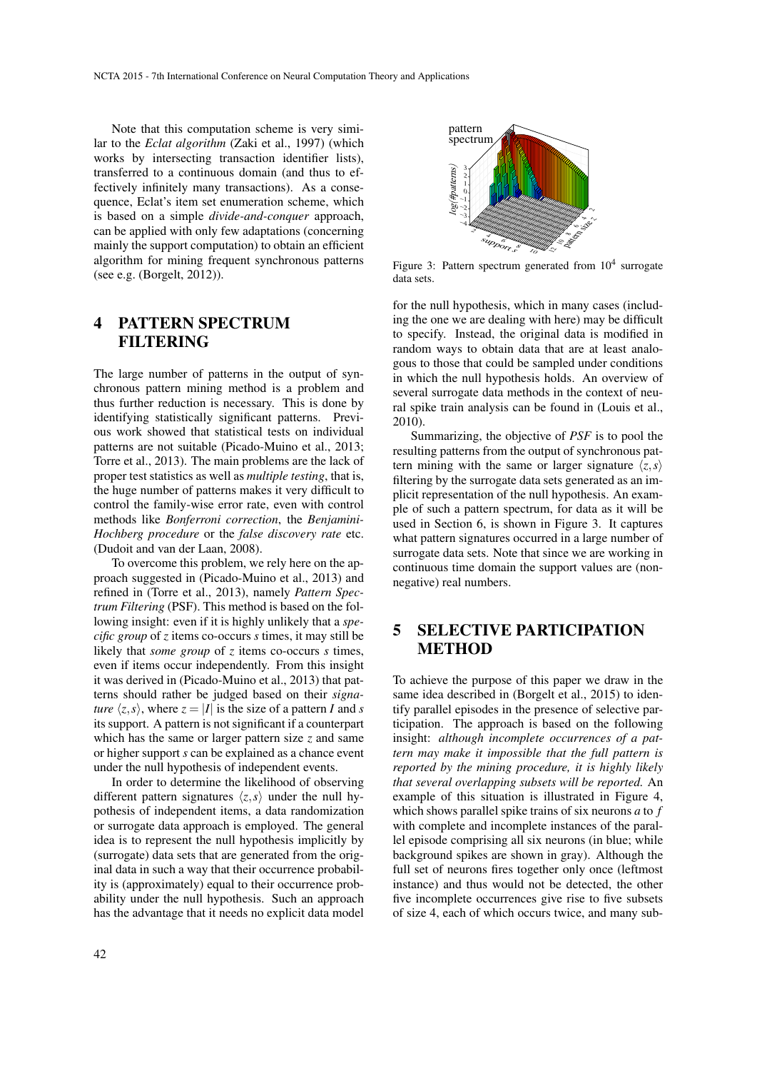Note that this computation scheme is very similar to the *Eclat algorithm* (Zaki et al., 1997) (which works by intersecting transaction identifier lists), transferred to a continuous domain (and thus to effectively infinitely many transactions). As a consequence, Eclat's item set enumeration scheme, which is based on a simple *divide-and-conquer* approach, can be applied with only few adaptations (concerning mainly the support computation) to obtain an efficient algorithm for mining frequent synchronous patterns (see e.g. (Borgelt, 2012)).

## 4 PATTERN SPECTRUM **FILTERING**

The large number of patterns in the output of synchronous pattern mining method is a problem and thus further reduction is necessary. This is done by identifying statistically significant patterns. Previous work showed that statistical tests on individual patterns are not suitable (Picado-Muino et al., 2013; Torre et al., 2013). The main problems are the lack of proper test statistics as well as *multiple testing*, that is, the huge number of patterns makes it very difficult to control the family-wise error rate, even with control methods like *Bonferroni correction*, the *Benjamini-Hochberg procedure* or the *false discovery rate* etc. (Dudoit and van der Laan, 2008).

To overcome this problem, we rely here on the approach suggested in (Picado-Muino et al., 2013) and refined in (Torre et al., 2013), namely *Pattern Spectrum Filtering* (PSF). This method is based on the following insight: even if it is highly unlikely that a *specific group* of *z* items co-occurs *s* times, it may still be likely that *some group* of *z* items co-occurs *s* times, even if items occur independently. From this insight it was derived in (Picado-Muino et al., 2013) that patterns should rather be judged based on their *signature*  $\langle z, s \rangle$ , where  $z = |I|$  is the size of a pattern *I* and *s* its support. A pattern is not significant if a counterpart which has the same or larger pattern size *z* and same or higher support *s* can be explained as a chance event under the null hypothesis of independent events.

In order to determine the likelihood of observing different pattern signatures  $\langle z, s \rangle$  under the null hypothesis of independent items, a data randomization or surrogate data approach is employed. The general idea is to represent the null hypothesis implicitly by (surrogate) data sets that are generated from the original data in such a way that their occurrence probability is (approximately) equal to their occurrence probability under the null hypothesis. Such an approach has the advantage that it needs no explicit data model



Figure 3: Pattern spectrum generated from  $10^4$  surrogate data sets.

for the null hypothesis, which in many cases (including the one we are dealing with here) may be difficult to specify. Instead, the original data is modified in random ways to obtain data that are at least analogous to those that could be sampled under conditions in which the null hypothesis holds. An overview of several surrogate data methods in the context of neural spike train analysis can be found in (Louis et al., 2010).

Summarizing, the objective of *PSF* is to pool the resulting patterns from the output of synchronous pattern mining with the same or larger signature  $\langle z, s \rangle$ filtering by the surrogate data sets generated as an implicit representation of the null hypothesis. An example of such a pattern spectrum, for data as it will be used in Section 6, is shown in Figure 3. It captures what pattern signatures occurred in a large number of surrogate data sets. Note that since we are working in continuous time domain the support values are (nonnegative) real numbers.

## 5 SELECTIVE PARTICIPATION **METHOD**

To achieve the purpose of this paper we draw in the same idea described in (Borgelt et al., 2015) to identify parallel episodes in the presence of selective participation. The approach is based on the following insight: *although incomplete occurrences of a pattern may make it impossible that the full pattern is reported by the mining procedure, it is highly likely that several overlapping subsets will be reported.* An example of this situation is illustrated in Figure 4, which shows parallel spike trains of six neurons *a* to *f* with complete and incomplete instances of the parallel episode comprising all six neurons (in blue; while background spikes are shown in gray). Although the full set of neurons fires together only once (leftmost instance) and thus would not be detected, the other five incomplete occurrences give rise to five subsets of size 4, each of which occurs twice, and many sub-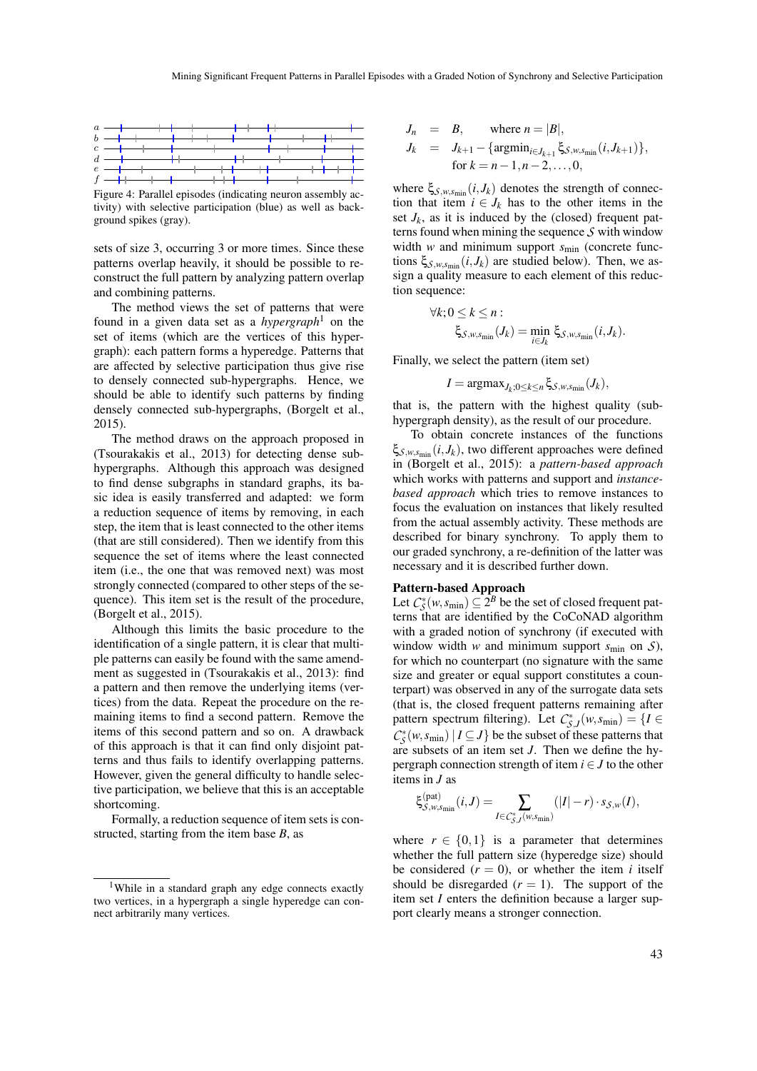

Figure 4: Parallel episodes (indicating neuron assembly activity) with selective participation (blue) as well as background spikes (gray).

sets of size 3, occurring 3 or more times. Since these patterns overlap heavily, it should be possible to reconstruct the full pattern by analyzing pattern overlap and combining patterns.

The method views the set of patterns that were found in a given data set as a *hypergraph*<sup>1</sup> on the set of items (which are the vertices of this hypergraph): each pattern forms a hyperedge. Patterns that are affected by selective participation thus give rise to densely connected sub-hypergraphs. Hence, we should be able to identify such patterns by finding densely connected sub-hypergraphs, (Borgelt et al., 2015).

The method draws on the approach proposed in (Tsourakakis et al., 2013) for detecting dense subhypergraphs. Although this approach was designed to find dense subgraphs in standard graphs, its basic idea is easily transferred and adapted: we form a reduction sequence of items by removing, in each step, the item that is least connected to the other items (that are still considered). Then we identify from this sequence the set of items where the least connected item (i.e., the one that was removed next) was most strongly connected (compared to other steps of the sequence). This item set is the result of the procedure, (Borgelt et al., 2015).

Although this limits the basic procedure to the identification of a single pattern, it is clear that multiple patterns can easily be found with the same amendment as suggested in (Tsourakakis et al., 2013): find a pattern and then remove the underlying items (vertices) from the data. Repeat the procedure on the remaining items to find a second pattern. Remove the items of this second pattern and so on. A drawback of this approach is that it can find only disjoint patterns and thus fails to identify overlapping patterns. However, given the general difficulty to handle selective participation, we believe that this is an acceptable shortcoming.

Formally, a reduction sequence of item sets is constructed, starting from the item base *B*, as

$$
J_n = B,
$$
 where  $n = |B|$ ,  
\n $J_k = J_{k+1} - {\text{argmin}_{i \in J_{k+1}} \xi_{S,w,s_{\min}}(i, J_{k+1})}$ ,  
\nfor  $k = n - 1, n - 2, ..., 0$ ,

where  $\xi_{S,w,s_{\text{min}}}(i,J_k)$  denotes the strength of connection that item  $i \in J_k$  has to the other items in the set  $J_k$ , as it is induced by the (closed) frequent patterns found when mining the sequence *S* with window width *w* and minimum support *s*<sub>min</sub> (concrete functions  $\xi_{\mathcal{S},w,s_{\min}}(i,J_k)$  are studied below). Then, we assign a quality measure to each element of this reduction sequence:

$$
\forall k; 0 \leq k \leq n :\\ \xi_{\mathcal{S},w,\mathsf{s}_{\min}}(J_k) = \min_{i \in J_k} \xi_{\mathcal{S},w,\mathsf{s}_{\min}}(i,J_k).
$$

Finally, we select the pattern (item set)

 $I = \text{argmax}_{J_k;0 \leq k \leq n} \xi_{S,w,s_{\min}}(J_k),$ 

that is, the pattern with the highest quality (subhypergraph density), as the result of our procedure.

To obtain concrete instances of the functions ξ*S*,*w*,*s*min (*i*, *Jk*), two different approaches were defined in (Borgelt et al., 2015): a *pattern-based approach* which works with patterns and support and *instancebased approach* which tries to remove instances to focus the evaluation on instances that likely resulted from the actual assembly activity. These methods are described for binary synchrony. To apply them to our graded synchrony, a re-definition of the latter was necessary and it is described further down.

#### Pattern-based Approach

Let  $C_S^*(w, s_{\min}) \subseteq 2^B$  be the set of closed frequent patterns that are identified by the CoCoNAD algorithm with a graded notion of synchrony (if executed with window width *w* and minimum support  $s_{\text{min}}$  on  $\mathcal{S}$ ), for which no counterpart (no signature with the same size and greater or equal support constitutes a counterpart) was observed in any of the surrogate data sets (that is, the closed frequent patterns remaining after pattern spectrum filtering). Let  $C_{\mathcal{S},J}^*(w,s_{\min}) = \{I \in$  $C^*_{\mathcal{S}}(w, s_{\min}) | I \subseteq J$  be the subset of these patterns that are subsets of an item set *J*. Then we define the hypergraph connection strength of item  $i \in J$  to the other items in *J* as

$$
\xi_{\mathcal{S},w,\mathbf{s}_{\min}}^{\text{(pat)}}(i,J) = \sum_{I \in \mathcal{C}_{\mathcal{S},J}^*(w,\mathbf{s}_{\min})} (|I|-r) \cdot s_{\mathcal{S},w}(I),
$$

where  $r \in \{0,1\}$  is a parameter that determines whether the full pattern size (hyperedge size) should be considered  $(r = 0)$ , or whether the item *i* itself should be disregarded  $(r = 1)$ . The support of the item set *I* enters the definition because a larger support clearly means a stronger connection.

<sup>&</sup>lt;sup>1</sup>While in a standard graph any edge connects exactly two vertices, in a hypergraph a single hyperedge can connect arbitrarily many vertices.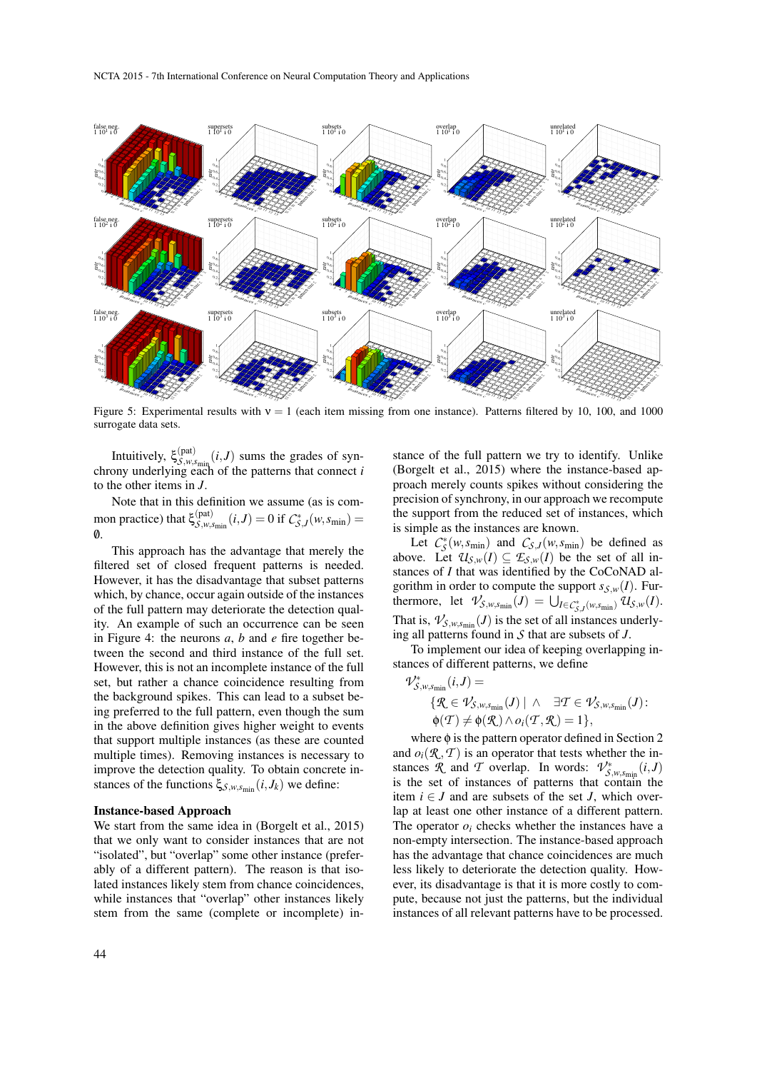

Figure 5: Experimental results with  $v = 1$  (each item missing from one instance). Patterns filtered by 10, 100, and 1000 surrogate data sets.

Intuitively,  $\xi_{S,w,s_{\text{min}}}^{\text{(pat)}}(i,J)$  sums the grades of synchrony underlying each of the patterns that connect *i* to the other items in *J*.

Note that in this definition we assume (as is common practice) that  $\xi_{\mathcal{S},w,s_{\text{min}}}(i,J) = 0$  if  $C_{\mathcal{S},J}^*(w,s_{\text{min}}) =$  $\boldsymbol{\emptyset}$ .

This approach has the advantage that merely the filtered set of closed frequent patterns is needed. However, it has the disadvantage that subset patterns which, by chance, occur again outside of the instances of the full pattern may deteriorate the detection quality. An example of such an occurrence can be seen in Figure 4: the neurons *a*, *b* and *e* fire together between the second and third instance of the full set. However, this is not an incomplete instance of the full set, but rather a chance coincidence resulting from the background spikes. This can lead to a subset being preferred to the full pattern, even though the sum in the above definition gives higher weight to events that support multiple instances (as these are counted multiple times). Removing instances is necessary to improve the detection quality. To obtain concrete instances of the functions ξ*S*,*w*,*s*min (*i*, *Jk*) we define:

#### Instance-based Approach

We start from the same idea in (Borgelt et al., 2015) that we only want to consider instances that are not "isolated", but "overlap" some other instance (preferably of a different pattern). The reason is that isolated instances likely stem from chance coincidences, while instances that "overlap" other instances likely stem from the same (complete or incomplete) instance of the full pattern we try to identify. Unlike (Borgelt et al., 2015) where the instance-based approach merely counts spikes without considering the precision of synchrony, in our approach we recompute the support from the reduced set of instances, which is simple as the instances are known.

Let  $C_S^*(w, s_{\text{min}})$  and  $C_{S,J}(w, s_{\text{min}})$  be defined as above. Let  $\mathcal{U}_{\mathcal{S},w}(I) \subseteq \mathcal{E}_{\mathcal{S},w}(I)$  be the set of all instances of *I* that was identified by the CoCoNAD algorithm in order to compute the support  $s_{\mathcal{S},w}(I)$ . Furthermore, let  $\mathcal{V}_{\mathcal{S},w,s_{\text{min}}}(J) = \bigcup_{I \in \mathcal{C}_{\mathcal{S},J}^*(w,s_{\text{min}})} \mathcal{U}_{\mathcal{S},w}(I)$ . That is,  $\mathcal{V}_{\mathcal{S}, w, s_{\text{min}}}(J)$  is the set of all instances underlying all patterns found in *S* that are subsets of *J*.

To implement our idea of keeping overlapping instances of different patterns, we define

$$
\begin{aligned}\n\mathcal{V}_{\mathcal{S},w,s_{\min}}^{*}(i,J) &= \\
\{\mathcal{R} \in \mathcal{V}_{\mathcal{S},w,s_{\min}}(J) \mid \wedge \quad \exists \mathcal{T} \in \mathcal{V}_{\mathcal{S},w,s_{\min}}(J) \\
\varphi(\mathcal{T}) &\neq \varphi(\mathcal{R}) \wedge o_i(\mathcal{T},\mathcal{R}) = 1\},\n\end{aligned}
$$

where  $\phi$  is the pattern operator defined in Section 2 and  $o_i(\mathcal{R}, \mathcal{T})$  is an operator that tests whether the instances *R* and *T* overlap. In words:  $V^*_{\mathcal{S}, w, s_{\text{min}}}(i, J)$ is the set of instances of patterns that contain the item  $i \in J$  and are subsets of the set *J*, which overlap at least one other instance of a different pattern. The operator  $o_i$  checks whether the instances have a non-empty intersection. The instance-based approach has the advantage that chance coincidences are much less likely to deteriorate the detection quality. However, its disadvantage is that it is more costly to compute, because not just the patterns, but the individual instances of all relevant patterns have to be processed.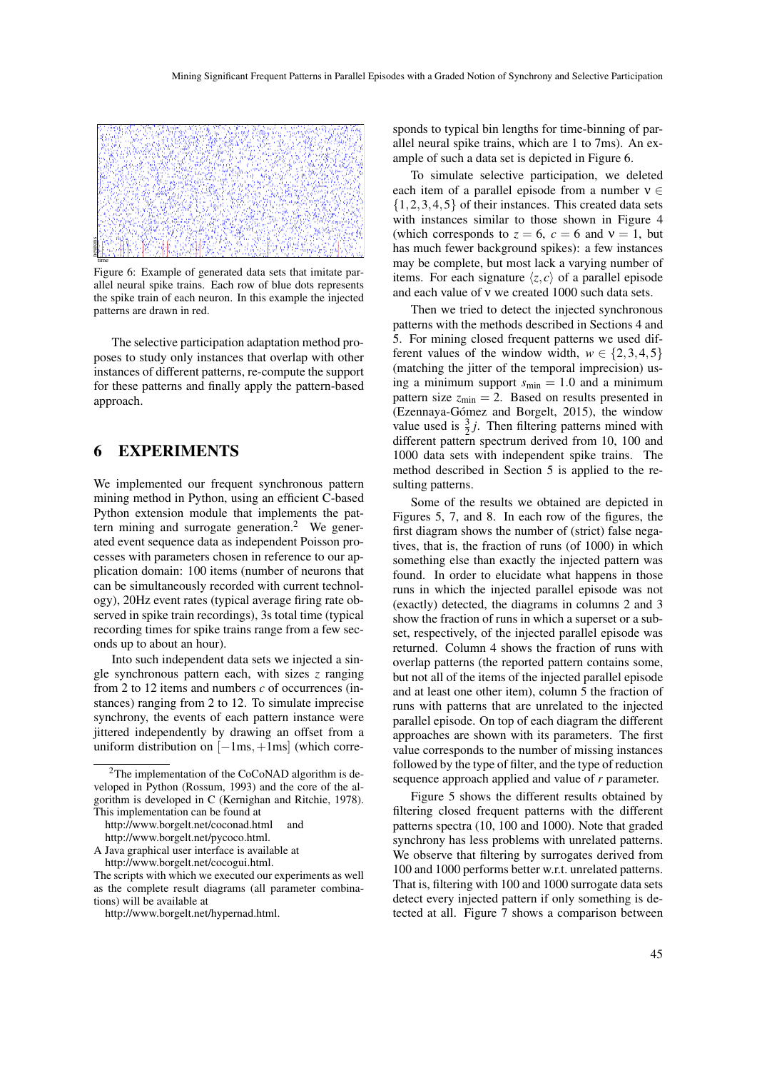

Figure 6: Example of generated data sets that imitate parallel neural spike trains. Each row of blue dots represents the spike train of each neuron. In this example the injected patterns are drawn in red.

The selective participation adaptation method proposes to study only instances that overlap with other instances of different patterns, re-compute the support for these patterns and finally apply the pattern-based approach.

### 6 EXPERIMENTS

We implemented our frequent synchronous pattern mining method in Python, using an efficient C-based Python extension module that implements the pattern mining and surrogate generation.<sup>2</sup> We generated event sequence data as independent Poisson processes with parameters chosen in reference to our application domain: 100 items (number of neurons that can be simultaneously recorded with current technology), 20Hz event rates (typical average firing rate observed in spike train recordings), 3s total time (typical recording times for spike trains range from a few seconds up to about an hour).

Into such independent data sets we injected a single synchronous pattern each, with sizes *z* ranging from 2 to 12 items and numbers *c* of occurrences (instances) ranging from 2 to 12. To simulate imprecise synchrony, the events of each pattern instance were jittered independently by drawing an offset from a uniform distribution on  $[-1\text{ms}, +1\text{ms}]$  (which corre-

sponds to typical bin lengths for time-binning of parallel neural spike trains, which are 1 to 7ms). An example of such a data set is depicted in Figure 6.

To simulate selective participation, we deleted each item of a parallel episode from a number  $v \in$  $\{1,2,3,4,5\}$  of their instances. This created data sets with instances similar to those shown in Figure 4 (which corresponds to  $z = 6$ ,  $c = 6$  and  $v = 1$ , but has much fewer background spikes): a few instances may be complete, but most lack a varying number of items. For each signature  $\langle z, c \rangle$  of a parallel episode and each value of ν we created 1000 such data sets.

Then we tried to detect the injected synchronous patterns with the methods described in Sections 4 and 5. For mining closed frequent patterns we used different values of the window width,  $w \in \{2,3,4,5\}$ (matching the jitter of the temporal imprecision) using a minimum support *s*min = 1.0 and a minimum pattern size  $z_{\text{min}} = 2$ . Based on results presented in (Ezennaya-Gómez and Borgelt, 2015), the window value used is  $\frac{3}{2}j$ . Then filtering patterns mined with different pattern spectrum derived from 10, 100 and 1000 data sets with independent spike trains. The method described in Section 5 is applied to the resulting patterns.

Some of the results we obtained are depicted in Figures 5, 7, and 8. In each row of the figures, the first diagram shows the number of (strict) false negatives, that is, the fraction of runs (of 1000) in which something else than exactly the injected pattern was found. In order to elucidate what happens in those runs in which the injected parallel episode was not (exactly) detected, the diagrams in columns 2 and 3 show the fraction of runs in which a superset or a subset, respectively, of the injected parallel episode was returned. Column 4 shows the fraction of runs with overlap patterns (the reported pattern contains some, but not all of the items of the injected parallel episode and at least one other item), column 5 the fraction of runs with patterns that are unrelated to the injected parallel episode. On top of each diagram the different approaches are shown with its parameters. The first value corresponds to the number of missing instances followed by the type of filter, and the type of reduction sequence approach applied and value of *r* parameter.

Figure 5 shows the different results obtained by filtering closed frequent patterns with the different patterns spectra (10, 100 and 1000). Note that graded synchrony has less problems with unrelated patterns. We observe that filtering by surrogates derived from 100 and 1000 performs better w.r.t. unrelated patterns. That is, filtering with 100 and 1000 surrogate data sets detect every injected pattern if only something is detected at all. Figure 7 shows a comparison between

<sup>&</sup>lt;sup>2</sup>The implementation of the CoCoNAD algorithm is developed in Python (Rossum, 1993) and the core of the algorithm is developed in C (Kernighan and Ritchie, 1978). This implementation can be found at

http://www.borgelt.net/coconad.html and http://www.borgelt.net/pycoco.html.

A Java graphical user interface is available at http://www.borgelt.net/cocogui.html.

The scripts with which we executed our experiments as well as the complete result diagrams (all parameter combinations) will be available at

http://www.borgelt.net/hypernad.html.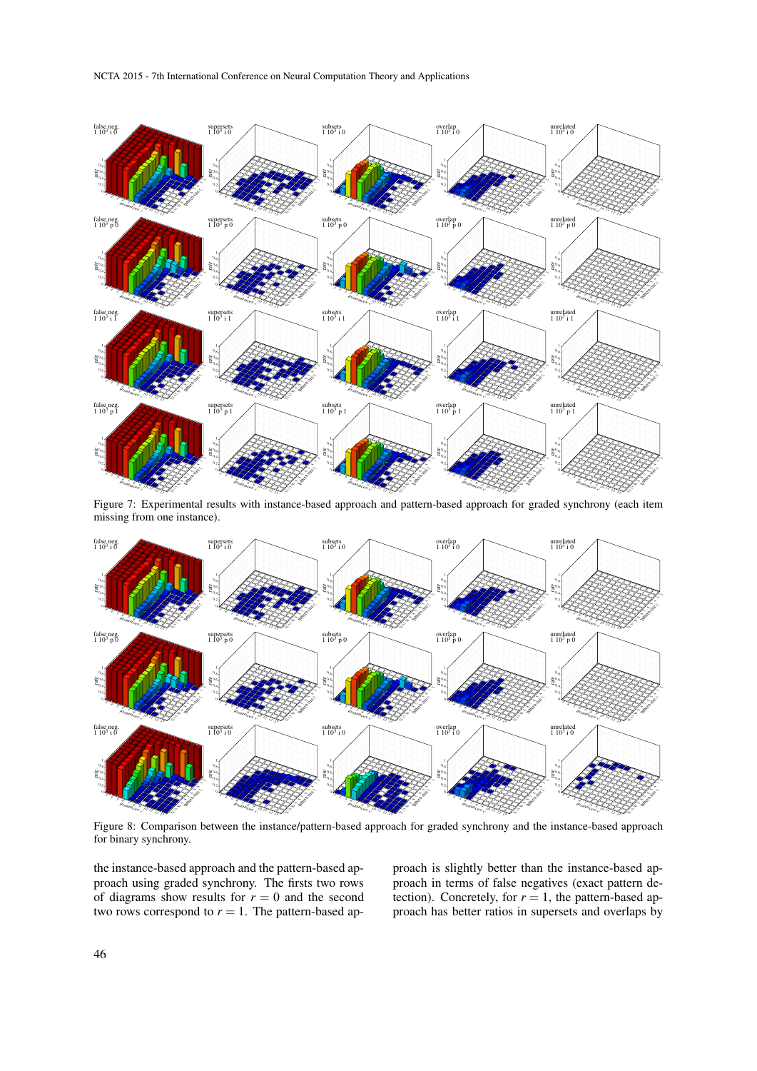

Figure 7: Experimental results with instance-based approach and pattern-based approach for graded synchrony (each item missing from one instance).

![](_page_7_Figure_3.jpeg)

Figure 8: Comparison between the instance/pattern-based approach for graded synchrony and the instance-based approach for binary synchrony.

the instance-based approach and the pattern-based approach using graded synchrony. The firsts two rows of diagrams show results for  $r = 0$  and the second two rows correspond to  $r = 1$ . The pattern-based approach is slightly better than the instance-based approach in terms of false negatives (exact pattern detection). Concretely, for  $r = 1$ , the pattern-based approach has better ratios in supersets and overlaps by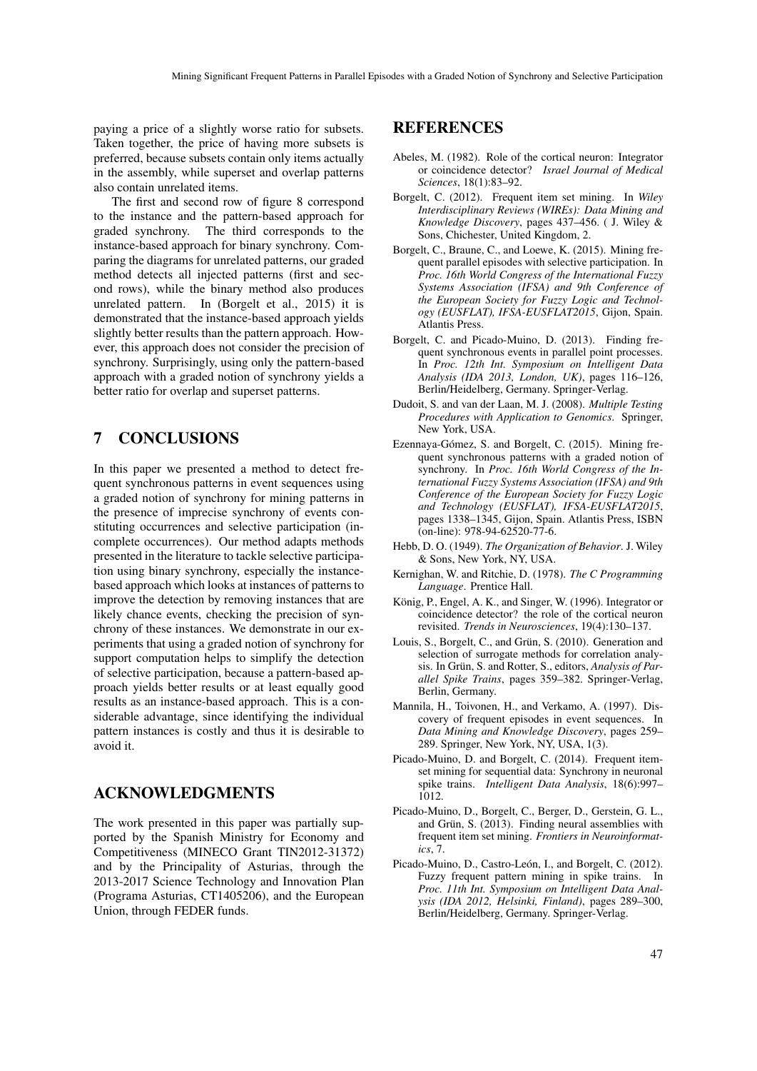paying a price of a slightly worse ratio for subsets. Taken together, the price of having more subsets is preferred, because subsets contain only items actually in the assembly, while superset and overlap patterns also contain unrelated items.

The first and second row of figure 8 correspond to the instance and the pattern-based approach for graded synchrony. The third corresponds to the instance-based approach for binary synchrony. Comparing the diagrams for unrelated patterns, our graded method detects all injected patterns (first and second rows), while the binary method also produces unrelated pattern. In (Borgelt et al., 2015) it is demonstrated that the instance-based approach yields slightly better results than the pattern approach. However, this approach does not consider the precision of synchrony. Surprisingly, using only the pattern-based approach with a graded notion of synchrony yields a better ratio for overlap and superset patterns.

## 7 CONCLUSIONS

In this paper we presented a method to detect frequent synchronous patterns in event sequences using a graded notion of synchrony for mining patterns in the presence of imprecise synchrony of events constituting occurrences and selective participation (incomplete occurrences). Our method adapts methods presented in the literature to tackle selective participation using binary synchrony, especially the instancebased approach which looks at instances of patterns to improve the detection by removing instances that are likely chance events, checking the precision of synchrony of these instances. We demonstrate in our experiments that using a graded notion of synchrony for support computation helps to simplify the detection of selective participation, because a pattern-based approach yields better results or at least equally good results as an instance-based approach. This is a considerable advantage, since identifying the individual pattern instances is costly and thus it is desirable to avoid it.

### ACKNOWLEDGMENTS

The work presented in this paper was partially supported by the Spanish Ministry for Economy and Competitiveness (MINECO Grant TIN2012-31372) and by the Principality of Asturias, through the 2013-2017 Science Technology and Innovation Plan (Programa Asturias, CT1405206), and the European Union, through FEDER funds.

## REFERENCES

- Abeles, M. (1982). Role of the cortical neuron: Integrator or coincidence detector? *Israel Journal of Medical Sciences*, 18(1):83–92.
- Borgelt, C. (2012). Frequent item set mining. In *Wiley Interdisciplinary Reviews (WIREs): Data Mining and Knowledge Discovery*, pages 437–456. ( J. Wiley & Sons, Chichester, United Kingdom, 2.
- Borgelt, C., Braune, C., and Loewe, K. (2015). Mining frequent parallel episodes with selective participation. In *Proc. 16th World Congress of the International Fuzzy Systems Association (IFSA) and 9th Conference of the European Society for Fuzzy Logic and Technology (EUSFLAT), IFSA-EUSFLAT2015*, Gijon, Spain. Atlantis Press.
- Borgelt, C. and Picado-Muino, D. (2013). Finding frequent synchronous events in parallel point processes. In *Proc. 12th Int. Symposium on Intelligent Data Analysis (IDA 2013, London, UK)*, pages 116–126, Berlin/Heidelberg, Germany. Springer-Verlag.
- Dudoit, S. and van der Laan, M. J. (2008). *Multiple Testing Procedures with Application to Genomics*. Springer, New York, USA.
- Ezennaya-Gómez, S. and Borgelt, C. (2015). Mining frequent synchronous patterns with a graded notion of synchrony. In *Proc. 16th World Congress of the International Fuzzy Systems Association (IFSA) and 9th Conference of the European Society for Fuzzy Logic and Technology (EUSFLAT), IFSA-EUSFLAT2015*, pages 1338–1345, Gijon, Spain. Atlantis Press, ISBN (on-line): 978-94-62520-77-6.
- Hebb, D. O. (1949). *The Organization of Behavior*. J. Wiley & Sons, New York, NY, USA.
- Kernighan, W. and Ritchie, D. (1978). *The C Programming Language*. Prentice Hall.
- König, P., Engel, A. K., and Singer, W. (1996). Integrator or coincidence detector? the role of the cortical neuron revisited. *Trends in Neurosciences*, 19(4):130–137.
- Louis, S., Borgelt, C., and Grün, S. (2010). Generation and selection of surrogate methods for correlation analysis. In Grün, S. and Rotter, S., editors, Analysis of Par*allel Spike Trains*, pages 359–382. Springer-Verlag, Berlin, Germany.
- Mannila, H., Toivonen, H., and Verkamo, A. (1997). Discovery of frequent episodes in event sequences. In *Data Mining and Knowledge Discovery*, pages 259– 289. Springer, New York, NY, USA, 1(3).
- Picado-Muino, D. and Borgelt, C. (2014). Frequent itemset mining for sequential data: Synchrony in neuronal spike trains. *Intelligent Data Analysis*, 18(6):997– 1012.
- Picado-Muino, D., Borgelt, C., Berger, D., Gerstein, G. L., and Grün, S.  $(2013)$ . Finding neural assemblies with frequent item set mining. *Frontiers in Neuroinformatics*, 7.
- Picado-Muino, D., Castro-León, I., and Borgelt, C. (2012). Fuzzy frequent pattern mining in spike trains. In *Proc. 11th Int. Symposium on Intelligent Data Analysis (IDA 2012, Helsinki, Finland)*, pages 289–300, Berlin/Heidelberg, Germany. Springer-Verlag.